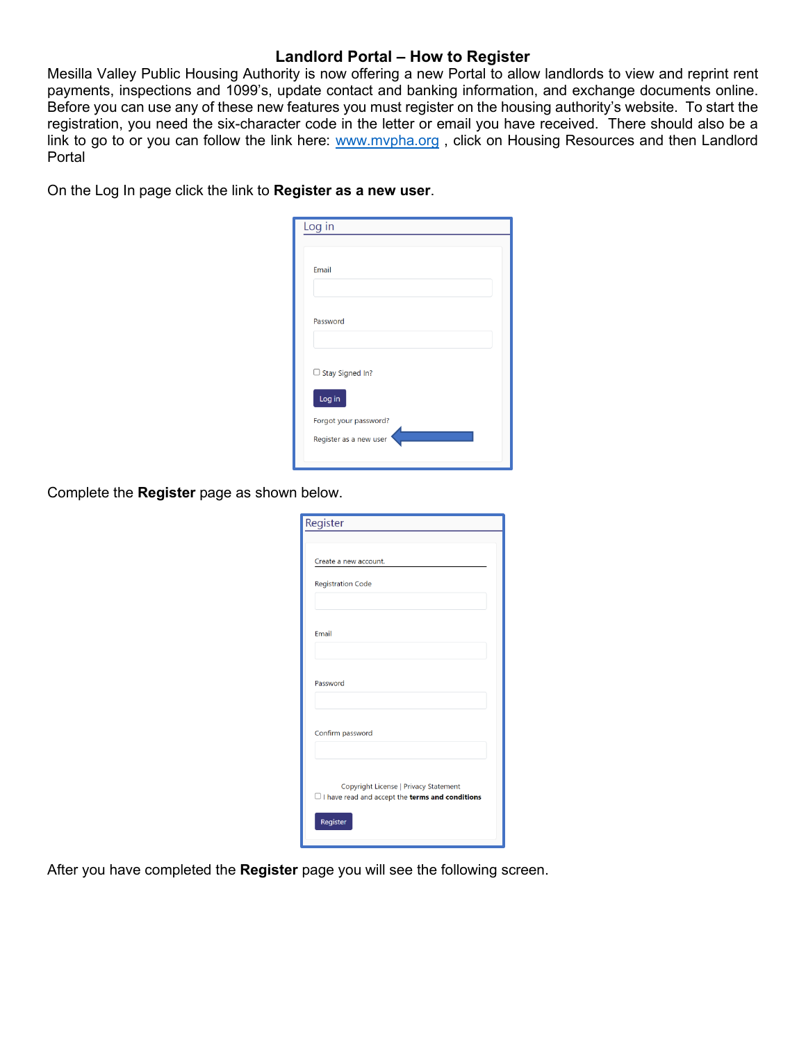## **Landlord Portal – How to Register**

Mesilla Valley Public Housing Authority is now offering a new Portal to allow landlords to view and reprint rent payments, inspections and 1099's, update contact and banking information, and exchange documents online. Before you can use any of these new features you must register on the housing authority's website. To start the registration, you need the six-character code in the letter or email you have received. There should also be a link to go to or you can follow the link here: [www.mvpha.org](http://www.mvpha.org/), click on Housing Resources and then Landlord Portal

On the Log In page click the link to **Register as a new user**.

| Log in                 |
|------------------------|
|                        |
| Email                  |
| Password               |
| $\Box$ Stay Signed In? |
| Log in                 |
| Forgot your password?  |
| Register as a new user |

Complete the **Register** page as shown below.

| Register                                                                                               |
|--------------------------------------------------------------------------------------------------------|
|                                                                                                        |
| Create a new account.                                                                                  |
| <b>Registration Code</b>                                                                               |
|                                                                                                        |
| Email                                                                                                  |
|                                                                                                        |
| Password                                                                                               |
| Confirm password                                                                                       |
|                                                                                                        |
| Copyright License   Privacy Statement<br>$\Box$ I have read and accept the <b>terms and conditions</b> |
| Register                                                                                               |

After you have completed the **Register** page you will see the following screen.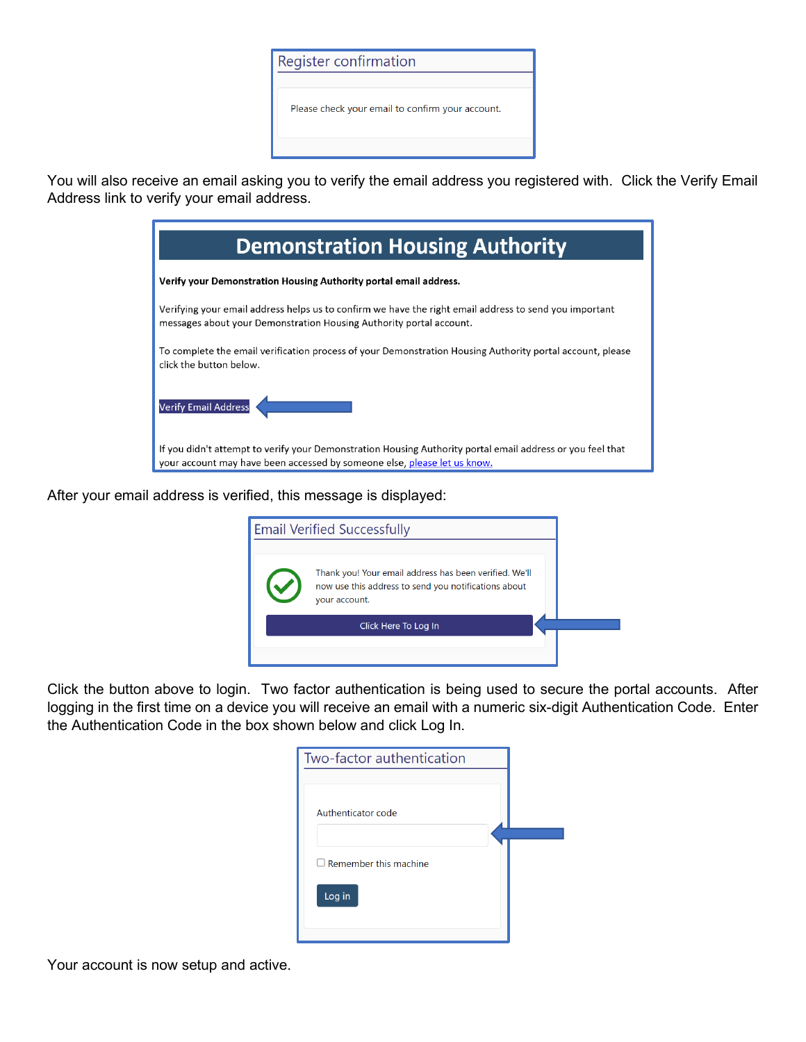

You will also receive an email asking you to verify the email address you registered with. Click the Verify Email Address link to verify your email address.

| <b>Demonstration Housing Authority</b>                                                                                                                                                 |
|----------------------------------------------------------------------------------------------------------------------------------------------------------------------------------------|
| Verify your Demonstration Housing Authority portal email address.                                                                                                                      |
| Verifying your email address helps us to confirm we have the right email address to send you important<br>messages about your Demonstration Housing Authority portal account.          |
| To complete the email verification process of your Demonstration Housing Authority portal account, please<br>click the button below.                                                   |
| Verify Email Address                                                                                                                                                                   |
| If you didn't attempt to verify your Demonstration Housing Authority portal email address or you feel that<br>your account may have been accessed by someone else, please let us know. |

After your email address is verified, this message is displayed:

| <b>Email Verified Successfully</b>                                                                                              |  |
|---------------------------------------------------------------------------------------------------------------------------------|--|
| Thank you! Your email address has been verified. We'll<br>now use this address to send you notifications about<br>your account. |  |
| Click Here To Log In                                                                                                            |  |
|                                                                                                                                 |  |

Click the button above to login. Two factor authentication is being used to secure the portal accounts. After logging in the first time on a device you will receive an email with a numeric six-digit Authentication Code. Enter the Authentication Code in the box shown below and click Log In.

| Two-factor authentication    |  |
|------------------------------|--|
|                              |  |
| Authenticator code           |  |
| $\Box$ Remember this machine |  |
| Log in                       |  |
|                              |  |

Your account is now setup and active.